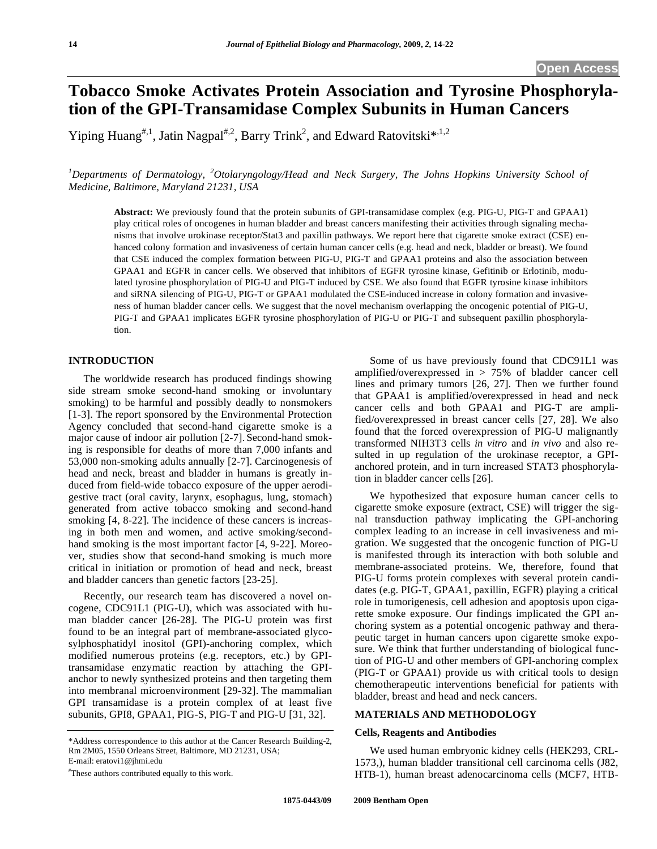# **Tobacco Smoke Activates Protein Association and Tyrosine Phosphorylation of the GPI-Transamidase Complex Subunits in Human Cancers**

Yiping Huang<sup>#,1</sup>, Jatin Nagpal<sup>#,2</sup>, Barry Trink<sup>2</sup>, and Edward Ratovitski<sup>\*,1,2</sup>

*1 Departments of Dermatology, <sup>2</sup> Otolaryngology/Head and Neck Surgery, The Johns Hopkins University School of Medicine, Baltimore, Maryland 21231, USA* 

**Abstract:** We previously found that the protein subunits of GPI-transamidase complex (e.g. PIG-U, PIG-T and GPAA1) play critical roles of oncogenes in human bladder and breast cancers manifesting their activities through signaling mechanisms that involve urokinase receptor/Stat3 and paxillin pathways. We report here that cigarette smoke extract (CSE) enhanced colony formation and invasiveness of certain human cancer cells (e.g. head and neck, bladder or breast). We found that CSE induced the complex formation between PIG-U, PIG-T and GPAA1 proteins and also the association between GPAA1 and EGFR in cancer cells. We observed that inhibitors of EGFR tyrosine kinase, Gefitinib or Erlotinib, modulated tyrosine phosphorylation of PIG-U and PIG-T induced by CSE. We also found that EGFR tyrosine kinase inhibitors and siRNA silencing of PIG-U, PIG-T or GPAA1 modulated the CSE-induced increase in colony formation and invasiveness of human bladder cancer cells. We suggest that the novel mechanism overlapping the oncogenic potential of PIG-U, PIG-T and GPAA1 implicates EGFR tyrosine phosphorylation of PIG-U or PIG-T and subsequent paxillin phosphorylation.

# **INTRODUCTION**

 The worldwide research has produced findings showing side stream smoke second-hand smoking or involuntary smoking) to be harmful and possibly deadly to nonsmokers [1-3]. The report sponsored by the Environmental Protection Agency concluded that second-hand cigarette smoke is a major cause of indoor air pollution [2-7]. Second-hand smoking is responsible for deaths of more than 7,000 infants and 53,000 non-smoking adults annually [2-7]. Carcinogenesis of head and neck, breast and bladder in humans is greatly induced from field-wide tobacco exposure of the upper aerodigestive tract (oral cavity, larynx, esophagus, lung, stomach) generated from active tobacco smoking and second-hand smoking [4, 8-22]. The incidence of these cancers is increasing in both men and women, and active smoking/secondhand smoking is the most important factor [4, 9-22]. Moreover, studies show that second-hand smoking is much more critical in initiation or promotion of head and neck, breast and bladder cancers than genetic factors [23-25].

 Recently, our research team has discovered a novel oncogene, CDC91L1 (PIG-U), which was associated with human bladder cancer [26-28]. The PIG-U protein was first found to be an integral part of membrane-associated glycosylphosphatidyl inositol (GPI)-anchoring complex, which modified numerous proteins (e.g. receptors, etc.) by GPItransamidase enzymatic reaction by attaching the GPIanchor to newly synthesized proteins and then targeting them into membranal microenvironment [29-32]. The mammalian GPI transamidase is a protein complex of at least five subunits, GPI8, GPAA1, PIG-S, PIG-T and PIG-U [31, 32].

 Some of us have previously found that CDC91L1 was amplified/overexpressed in > 75% of bladder cancer cell lines and primary tumors [26, 27]. Then we further found that GPAA1 is amplified/overexpressed in head and neck cancer cells and both GPAA1 and PIG-T are amplified/overexpressed in breast cancer cells [27, 28]. We also found that the forced overexpression of PIG-U malignantly transformed NIH3T3 cells *in vitro* and *in vivo* and also resulted in up regulation of the urokinase receptor, a GPIanchored protein, and in turn increased STAT3 phosphorylation in bladder cancer cells [26].

 We hypothesized that exposure human cancer cells to cigarette smoke exposure (extract, CSE) will trigger the signal transduction pathway implicating the GPI-anchoring complex leading to an increase in cell invasiveness and migration. We suggested that the oncogenic function of PIG-U is manifested through its interaction with both soluble and membrane-associated proteins. We, therefore, found that PIG-U forms protein complexes with several protein candidates (e.g. PIG-T, GPAA1, paxillin, EGFR) playing a critical role in tumorigenesis, cell adhesion and apoptosis upon cigarette smoke exposure. Our findings implicated the GPI anchoring system as a potential oncogenic pathway and therapeutic target in human cancers upon cigarette smoke exposure. We think that further understanding of biological function of PIG-U and other members of GPI-anchoring complex (PIG-T or GPAA1) provide us with critical tools to design chemotherapeutic interventions beneficial for patients with bladder, breast and head and neck cancers.

## **MATERIALS AND METHODOLOGY**

#### **Cells, Reagents and Antibodies**

 We used human embryonic kidney cells (HEK293, CRL-1573,), human bladder transitional cell carcinoma cells (J82, HTB-1), human breast adenocarcinoma cells (MCF7, HTB-

<sup>\*</sup>Address correspondence to this author at the Cancer Research Building-2, Rm 2M05, 1550 Orleans Street, Baltimore, MD 21231, USA; E-mail: eratovi1@jhmi.edu

<sup>#</sup> These authors contributed equally to this work.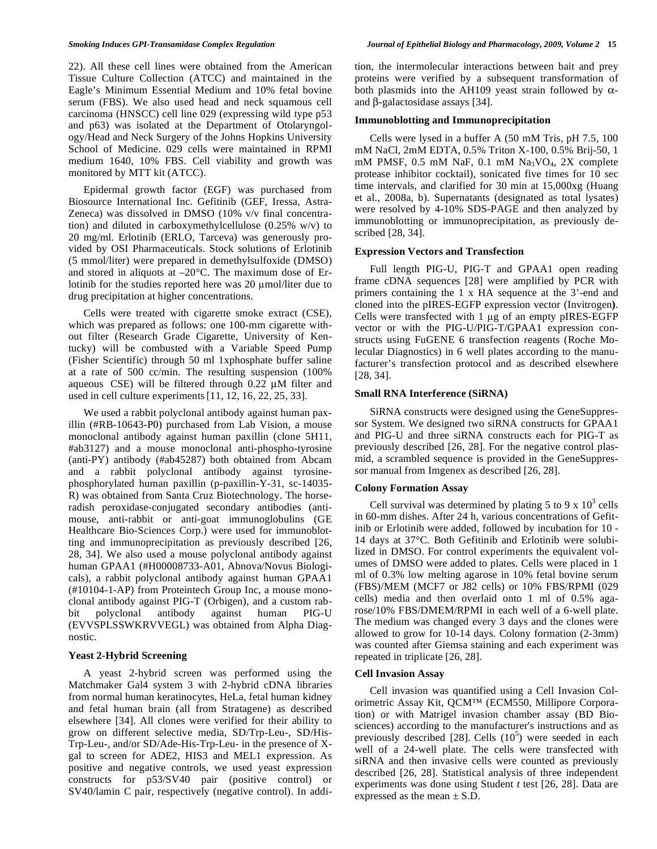22). All these cell lines were obtained from the American Tissue Culture Collection (ATCC) and maintained in the Eagle's Minimum Essential Medium and 10% fetal bovine serum (FBS). We also used head and neck squamous cell carcinoma (HNSCC) cell line 029 (expressing wild type p53 and p63) was isolated at the Department of Otolaryngology/Head and Neck Surgery of the Johns Hopkins University School of Medicine. 029 cells were maintained in RPMI medium 1640, 10% FBS. Cell viability and growth was monitored by MTT kit (ATCC).

 Epidermal growth factor (EGF) was purchased from Biosource International Inc. Gefitinib (GEF, Iressa, Astra-Zeneca) was dissolved in DMSO (10% v/v final concentration) and diluted in carboxymethylcellulose (0.25% w/v) to 20 mg/ml. Erlotinib (ERLO, Tarceva) was generously provided by OSI Pharmaceuticals. Stock solutions of Erlotinib (5 mmol/liter) were prepared in demethylsulfoxide (DMSO) and stored in aliquots at –20°C. The maximum dose of Erlotinib for the studies reported here was 20 µmol/liter due to drug precipitation at higher concentrations.

 Cells were treated with cigarette smoke extract (CSE), which was prepared as follows: one 100-mm cigarette without filter (Research Grade Cigarette, University of Kentucky) will be combusted with a Variable Speed Pump (Fisher Scientific) through 50 ml 1xphosphate buffer saline at a rate of 500 cc/min. The resulting suspension (100% aqueous CSE) will be filtered through 0.22 μM filter and used in cell culture experiments[11, 12, 16, 22, 25, 33].

 We used a rabbit polyclonal antibody against human paxillin (#RB-10643-P0) purchased from Lab Vision, a mouse monoclonal antibody against human paxillin (clone 5H11, #ab3127) and a mouse monoclonal anti-phospho-tyrosine (anti-PY) antibody (#ab45287) both obtained from Abcam and a rabbit polyclonal antibody against tyrosinephosphorylated human paxillin (p-paxillin-Y-31, sc-14035- R) was obtained from Santa Cruz Biotechnology. The horseradish peroxidase-conjugated secondary antibodies (antimouse, anti-rabbit or anti-goat immunoglobulins (GE Healthcare Bio-Sciences Corp.) were used for immunoblotting and immunoprecipitation as previously described [26, 28, 34]. We also used a mouse polyclonal antibody against human GPAA1 (#H00008733-A01, Abnova/Novus Biologicals), a rabbit polyclonal antibody against human GPAA1 (#10104-1-AP) from Proteintech Group Inc, a mouse monoclonal antibody against PIG-T (Orbigen), and a custom rabbit polyclonal antibody against human PIG-U (EVVSPLSSWKRVVEGL) was obtained from Alpha Diagnostic.

#### **Yeast 2-Hybrid Screening**

 A yeast 2-hybrid screen was performed using the Matchmaker Gal4 system 3 with 2-hybrid cDNA libraries from normal human keratinocytes, HeLa, fetal human kidney and fetal human brain (all from Stratagene) as described elsewhere [34]. All clones were verified for their ability to grow on different selective media, SD/Trp-Leu-, SD/His-Trp-Leu-, and/or SD/Ade-His-Trp-Leu- in the presence of Xgal to screen for ADE2, HIS3 and MEL1 expression. As positive and negative controls, we used yeast expression constructs for p53/SV40 pair (positive control) or SV40/lamin C pair, respectively (negative control). In addition, the intermolecular interactions between bait and prey proteins were verified by a subsequent transformation of both plasmids into the AH109 yeast strain followed by  $\alpha$ and  $\beta$ -galactosidase assays [34].

#### **Immunoblotting and Immunoprecipitation**

 Cells were lysed in a buffer A (50 mM Tris, pH 7.5, 100 mM NaCl, 2mM EDTA, 0.5% Triton X-100, 0.5% Brij-50, 1 mM PMSF, 0.5 mM NaF, 0.1 mM Na<sub>3</sub>VO<sub>4</sub>, 2X complete protease inhibitor cocktail), sonicated five times for 10 sec time intervals, and clarified for 30 min at 15,000xg (Huang et al., 2008a, b). Supernatants (designated as total lysates) were resolved by 4-10% SDS-PAGE and then analyzed by immunoblotting or immunoprecipitation, as previously described [28, 34].

## **Expression Vectors and Transfection**

 Full length PIG-U, PIG-T and GPAA1 open reading frame cDNA sequences [28] were amplified by PCR with primers containing the 1 x HA sequence at the 3'-end and cloned into the pIRES-EGFP expression vector (Invitrogen**)**. Cells were transfected with  $1 \mu$ g of an empty pIRES-EGFP vector or with the PIG-U/PIG-T/GPAA1 expression constructs using FuGENE 6 transfection reagents (Roche Molecular Diagnostics) in 6 well plates according to the manufacturer's transfection protocol and as described elsewhere [28, 34].

## **Small RNA Interference (SiRNA)**

 SiRNA constructs were designed using the GeneSuppressor System. We designed two siRNA constructs for GPAA1 and PIG-U and three siRNA constructs each for PIG-T as previously described [26, 28]. For the negative control plasmid, a scrambled sequence is provided in the GeneSuppressor manual from Imgenex as described [26, 28].

### **Colony Formation Assay**

Cell survival was determined by plating 5 to 9 x  $10^3$  cells in 60-mm dishes. After 24 h, various concentrations of Gefitinib or Erlotinib were added, followed by incubation for 10 - 14 days at 37°C. Both Gefitinib and Erlotinib were solubilized in DMSO. For control experiments the equivalent volumes of DMSO were added to plates. Cells were placed in 1 ml of 0.3% low melting agarose in 10% fetal bovine serum (FBS)/MEM (MCF7 or J82 cells) or 10% FBS/RPMI (029 cells) media and then overlaid onto 1 ml of 0.5% agarose/10% FBS/DMEM/RPMI in each well of a 6-well plate. The medium was changed every 3 days and the clones were allowed to grow for 10-14 days. Colony formation (2-3mm) was counted after Giemsa staining and each experiment was repeated in triplicate [26, 28].

### **Cell Invasion Assay**

 Cell invasion was quantified using a Cell Invasion Colorimetric Assay Kit, QCM™ (ECM550, Millipore Corporation) or with Matrigel invasion chamber assay (BD Biosciences) according to the manufacturer's instructions and as previously described [28]. Cells  $(10^5)$  were seeded in each well of a 24-well plate. The cells were transfected with siRNA and then invasive cells were counted as previously described [26, 28]. Statistical analysis of three independent experiments was done using Student *t* test [26, 28]. Data are expressed as the mean  $\pm$  S.D.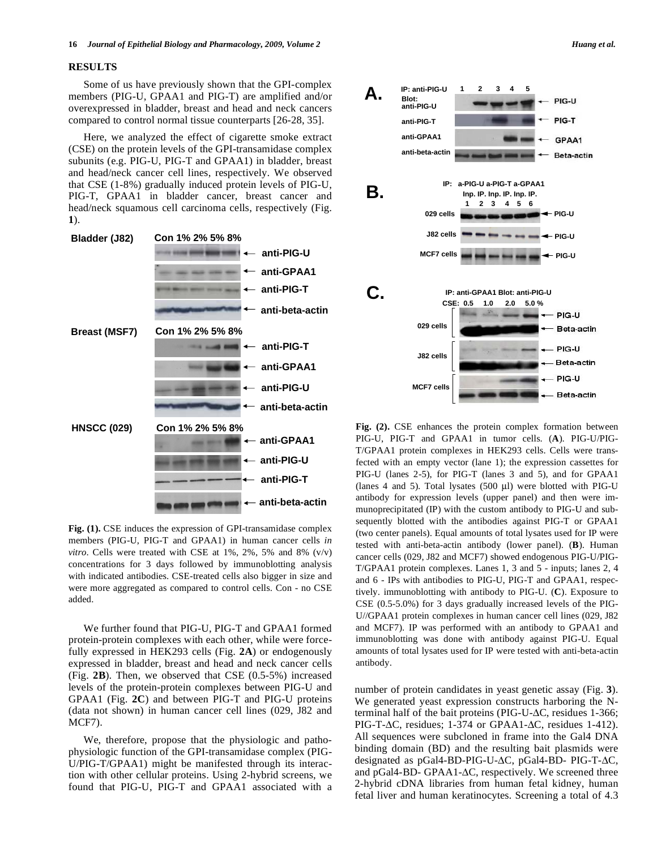#### **RESULTS**

 Some of us have previously shown that the GPI-complex members (PIG-U, GPAA1 and PIG-T) are amplified and/or overexpressed in bladder, breast and head and neck cancers compared to control normal tissue counterparts [26-28, 35].

 Here, we analyzed the effect of cigarette smoke extract (CSE) on the protein levels of the GPI-transamidase complex subunits (e.g. PIG-U, PIG-T and GPAA1) in bladder, breast and head/neck cancer cell lines, respectively. We observed that CSE (1-8%) gradually induced protein levels of PIG-U, PIG-T, GPAA1 in bladder cancer, breast cancer and head/neck squamous cell carcinoma cells, respectively (Fig. **1**).



**Fig. (1).** CSE induces the expression of GPI-transamidase complex members (PIG-U, PIG-T and GPAA1) in human cancer cells *in vitro*. Cells were treated with CSE at 1%, 2%, 5% and 8% (v/v) concentrations for 3 days followed by immunoblotting analysis with indicated antibodies. CSE-treated cells also bigger in size and were more aggregated as compared to control cells. Con - no CSE added.

 We further found that PIG-U, PIG-T and GPAA1 formed protein-protein complexes with each other, while were forcefully expressed in HEK293 cells (Fig. **2A**) or endogenously expressed in bladder, breast and head and neck cancer cells (Fig. **2B**). Then, we observed that CSE (0.5-5%) increased levels of the protein-protein complexes between PIG-U and GPAA1 (Fig. **2C**) and between PIG-T and PIG-U proteins (data not shown) in human cancer cell lines (029, J82 and MCF7).

 We, therefore, propose that the physiologic and pathophysiologic function of the GPI-transamidase complex (PIG-U/PIG-T/GPAA1) might be manifested through its interaction with other cellular proteins. Using 2-hybrid screens, we found that PIG-U, PIG-T and GPAA1 associated with a



**Fig. (2).** CSE enhances the protein complex formation between PIG-U, PIG-T and GPAA1 in tumor cells. (**A**). PIG-U/PIG-T/GPAA1 protein complexes in HEK293 cells. Cells were transfected with an empty vector (lane 1); the expression cassettes for PIG-U (lanes 2-5), for PIG-T (lanes 3 and 5), and for GPAA1 (lanes 4 and 5). Total lysates (500 μl) were blotted with PIG-U antibody for expression levels (upper panel) and then were immunoprecipitated (IP) with the custom antibody to PIG-U and subsequently blotted with the antibodies against PIG-T or GPAA1 (two center panels). Equal amounts of total lysates used for IP were tested with anti-beta-actin antibody (lower panel). (**B**). Human cancer cells (029, J82 and MCF7) showed endogenous PIG-U/PIG-T/GPAA1 protein complexes. Lanes 1, 3 and 5 - inputs; lanes 2, 4 and 6 - IPs with antibodies to PIG-U, PIG-T and GPAA1, respectively. immunoblotting with antibody to PIG-U. (**C**). Exposure to CSE (0.5-5.0%) for 3 days gradually increased levels of the PIG-U//GPAA1 protein complexes in human cancer cell lines (029, J82 and MCF7). IP was performed with an antibody to GPAA1 and immunoblotting was done with antibody against PIG-U. Equal amounts of total lysates used for IP were tested with anti-beta-actin antibody.

number of protein candidates in yeast genetic assay (Fig. **3**). We generated yeast expression constructs harboring the Nterminal half of the bait proteins (PIG-U- $\Delta$ C, residues 1-366; PIG-T- $\Delta$ C, residues; 1-374 or GPAA1- $\Delta$ C, residues 1-412). All sequences were subcloned in frame into the Gal4 DNA binding domain (BD) and the resulting bait plasmids were designated as pGal4-BD-PIG-U- $\Delta C$ , pGal4-BD- PIG-T- $\Delta C$ , and pGal4-BD- GPAA1- $\Delta$ C, respectively. We screened three 2-hybrid cDNA libraries from human fetal kidney, human fetal liver and human keratinocytes. Screening a total of 4.3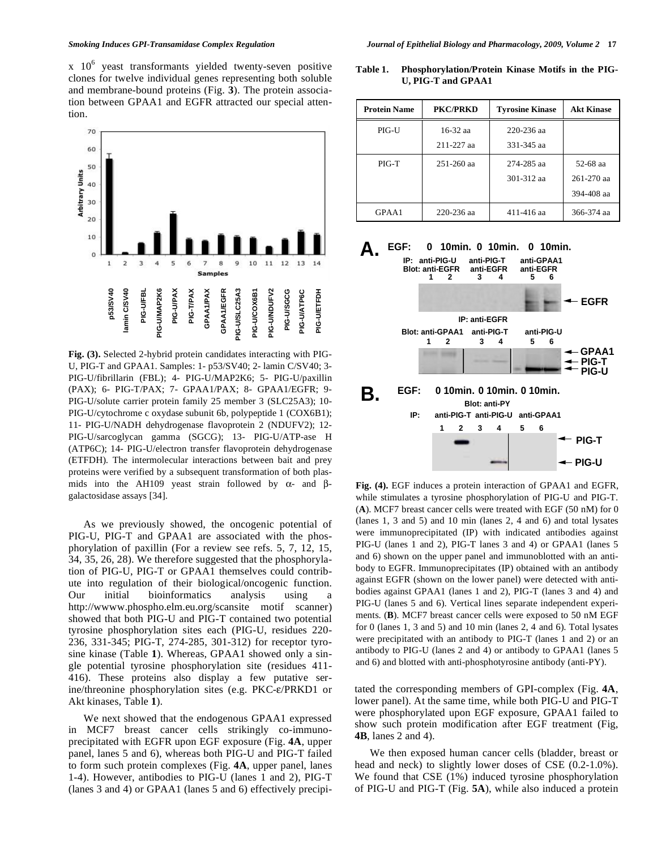

**Fig. (3).** Selected 2-hybrid protein candidates interacting with PIG-U, PIG-T and GPAA1. Samples: 1- p53/SV40; 2- lamin C/SV40; 3- PIG-U/fibrillarin (FBL); 4- PIG-U/MAP2K6; 5- PIG-U/paxillin (PAX); 6- PIG-T/PAX; 7- GPAA1/PAX; 8- GPAA1/EGFR; 9- PIG-U/solute carrier protein family 25 member 3 (SLC25A3); 10- PIG-U/cytochrome c oxydase subunit 6b, polypeptide 1 (COX6B1); 11- PIG-U/NADH dehydrogenase flavoprotein 2 (NDUFV2); 12- PIG-U/sarcoglycan gamma (SGCG); 13- PIG-U/ATP-ase H (ATP6C); 14- PIG-U/electron transfer flavoprotein dehydrogenase (ETFDH). The intermolecular interactions between bait and prey proteins were verified by a subsequent transformation of both plasmids into the AH109 yeast strain followed by  $\alpha$ - and  $\beta$ galactosidase assays [34].

 As we previously showed, the oncogenic potential of PIG-U, PIG-T and GPAA1 are associated with the phosphorylation of paxillin (For a review see refs. 5, 7, 12, 15, 34, 35, 26, 28). We therefore suggested that the phosphorylation of PIG-U, PIG-T or GPAA1 themselves could contribute into regulation of their biological/oncogenic function. Our initial bioinformatics analysis using a http://wwww.phospho.elm.eu.org/scansite motif scanner) showed that both PIG-U and PIG-T contained two potential tyrosine phosphorylation sites each (PIG-U, residues 220- 236, 331-345; PIG-T, 274-285, 301-312) for receptor tyrosine kinase (Table **1**). Whereas, GPAA1 showed only a single potential tyrosine phosphorylation site (residues 411- 416). These proteins also display a few putative serine/threonine phosphorylation sites (e.g.  $PKC-\varepsilon/PRKD1$  or Akt kinases, Table **1**).

 We next showed that the endogenous GPAA1 expressed in MCF7 breast cancer cells strikingly co-immunoprecipitated with EGFR upon EGF exposure (Fig. **4A**, upper panel, lanes 5 and 6), whereas both PIG-U and PIG-T failed to form such protein complexes (Fig. **4A**, upper panel, lanes 1-4). However, antibodies to PIG-U (lanes 1 and 2), PIG-T (lanes 3 and 4) or GPAA1 (lanes 5 and 6) effectively precipi-

**Table 1. Phosphorylation/Protein Kinase Motifs in the PIG-U, PIG-T and GPAA1** 

| <b>Protein Name</b> | <b>PKC/PRKD</b> | <b>Tyrosine Kinase</b> | <b>Akt Kinase</b> |
|---------------------|-----------------|------------------------|-------------------|
| $PIG-U$             | $16-32$ aa      | 220-236 aa             |                   |
|                     | 211-227 aa      | 331-345 aa             |                   |
| PIG-T               | $251 - 260$ aa  | 274-285 aa             | 52-68 aa          |
|                     |                 | 301-312 aa             | $261 - 270$ aa    |
|                     |                 |                        | 394-408 aa        |
| GPAA1               | 220-236 aa      | 411-416 aa             | 366-374 aa        |



**Fig. (4).** EGF induces a protein interaction of GPAA1 and EGFR, while stimulates a tyrosine phosphorylation of PIG-U and PIG-T. (**A**). MCF7 breast cancer cells were treated with EGF (50 nM) for 0 (lanes 1, 3 and 5) and 10 min (lanes 2, 4 and 6) and total lysates were immunoprecipitated (IP) with indicated antibodies against PIG-U (lanes 1 and 2), PIG-T lanes 3 and 4) or GPAA1 (lanes 5 and 6) shown on the upper panel and immunoblotted with an antibody to EGFR. Immunoprecipitates (IP) obtained with an antibody against EGFR (shown on the lower panel) were detected with antibodies against GPAA1 (lanes 1 and 2), PIG-T (lanes 3 and 4) and PIG-U (lanes 5 and 6). Vertical lines separate independent experiments. (**B**). MCF7 breast cancer cells were exposed to 50 nM EGF for 0 (lanes 1, 3 and 5) and 10 min (lanes 2, 4 and 6). Total lysates were precipitated with an antibody to PIG-T (lanes 1 and 2) or an antibody to PIG-U (lanes 2 and 4) or antibody to GPAA1 (lanes 5 and 6) and blotted with anti-phosphotyrosine antibody (anti-PY).

tated the corresponding members of GPI-complex (Fig. **4A**, lower panel). At the same time, while both PIG-U and PIG-T were phosphorylated upon EGF exposure, GPAA1 failed to show such protein modification after EGF treatment (Fig, **4B**, lanes 2 and 4).

 We then exposed human cancer cells (bladder, breast or head and neck) to slightly lower doses of CSE (0.2-1.0%). We found that CSE (1%) induced tyrosine phosphorylation of PIG-U and PIG-T (Fig. **5A**), while also induced a protein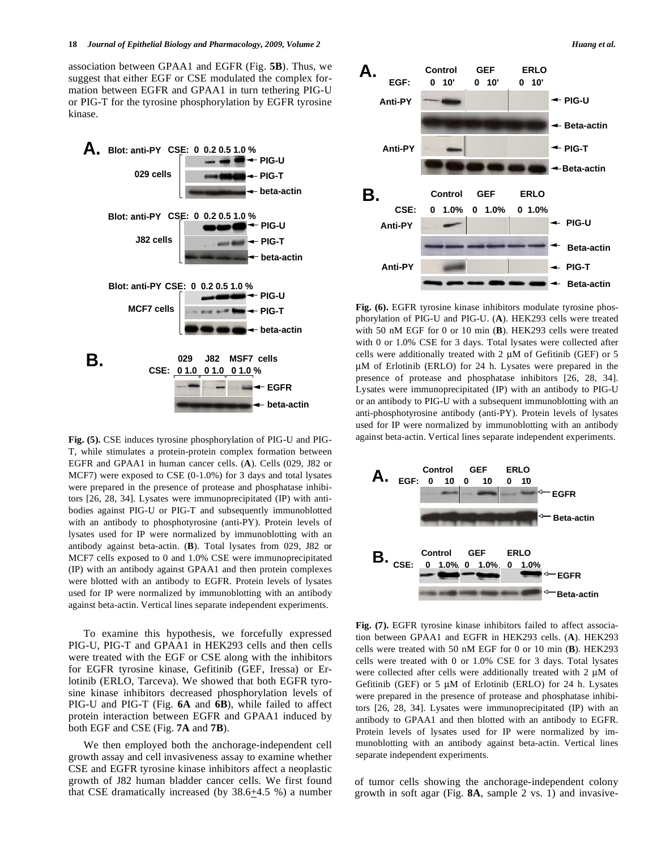association between GPAA1 and EGFR (Fig. **5B**). Thus, we suggest that either EGF or CSE modulated the complex formation between EGFR and GPAA1 in turn tethering PIG-U or PIG-T for the tyrosine phosphorylation by EGFR tyrosine kinase.



**Fig. (5).** CSE induces tyrosine phosphorylation of PIG-U and PIG-T, while stimulates a protein-protein complex formation between EGFR and GPAA1 in human cancer cells. (**A**). Cells (029, J82 or MCF7) were exposed to CSE (0-1.0%) for 3 days and total lysates were prepared in the presence of protease and phosphatase inhibitors [26, 28, 34]. Lysates were immunoprecipitated (IP) with antibodies against PIG-U or PIG-T and subsequently immunoblotted with an antibody to phosphotyrosine (anti-PY). Protein levels of lysates used for IP were normalized by immunoblotting with an antibody against beta-actin. (**B**). Total lysates from 029, J82 or MCF7 cells exposed to 0 and 1.0% CSE were immunoprecipitated (IP) with an antibody against GPAA1 and then protein complexes were blotted with an antibody to EGFR. Protein levels of lysates used for IP were normalized by immunoblotting with an antibody against beta-actin. Vertical lines separate independent experiments.

 To examine this hypothesis, we forcefully expressed PIG-U, PIG-T and GPAA1 in HEK293 cells and then cells were treated with the EGF or CSE along with the inhibitors for EGFR tyrosine kinase, Gefitinib (GEF, Iressa) or Erlotinib (ERLO, Tarceva). We showed that both EGFR tyrosine kinase inhibitors decreased phosphorylation levels of PIG-U and PIG-T (Fig. **6A** and **6B**), while failed to affect protein interaction between EGFR and GPAA1 induced by both EGF and CSE (Fig. **7A** and **7B**).

 We then employed both the anchorage-independent cell growth assay and cell invasiveness assay to examine whether CSE and EGFR tyrosine kinase inhibitors affect a neoplastic growth of J82 human bladder cancer cells. We first found that CSE dramatically increased (by 38.6+4.5 %) a number



**Fig. (6).** EGFR tyrosine kinase inhibitors modulate tyrosine phosphorylation of PIG-U and PIG-U. (**A**). HEK293 cells were treated with 50 nM EGF for 0 or 10 min (**B**). HEK293 cells were treated with 0 or 1.0% CSE for 3 days. Total lysates were collected after cells were additionally treated with 2 μM of Gefitinib (GEF) or 5 μM of Erlotinib (ERLO) for 24 h. Lysates were prepared in the presence of protease and phosphatase inhibitors [26, 28, 34]. Lysates were immunoprecipitated (IP) with an antibody to PIG-U or an antibody to PIG-U with a subsequent immunoblotting with an anti-phosphotyrosine antibody (anti-PY). Protein levels of lysates used for IP were normalized by immunoblotting with an antibody against beta-actin. Vertical lines separate independent experiments.



**Fig. (7).** EGFR tyrosine kinase inhibitors failed to affect association between GPAA1 and EGFR in HEK293 cells. (**A**). HEK293 cells were treated with 50 nM EGF for 0 or 10 min (**B**). HEK293 cells were treated with 0 or 1.0% CSE for 3 days. Total lysates were collected after cells were additionally treated with 2 μM of Gefitinib (GEF) or 5 μM of Erlotinib (ERLO) for 24 h. Lysates were prepared in the presence of protease and phosphatase inhibitors [26, 28, 34]. Lysates were immunoprecipitated (IP) with an antibody to GPAA1 and then blotted with an antibody to EGFR. Protein levels of lysates used for IP were normalized by immunoblotting with an antibody against beta-actin. Vertical lines separate independent experiments.

of tumor cells showing the anchorage-independent colony growth in soft agar (Fig. **8A**, sample 2 vs. 1) and invasive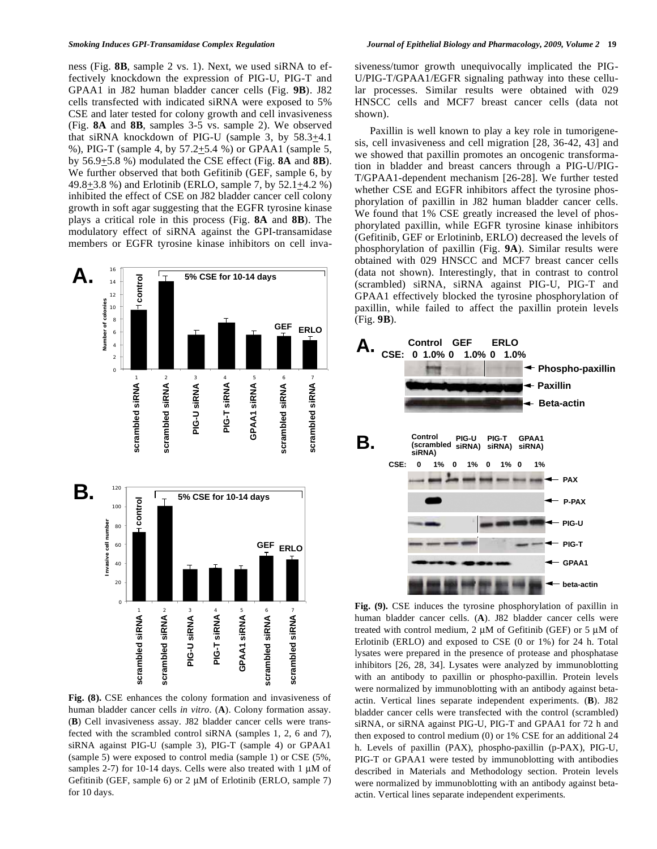ness (Fig. **8B**, sample 2 vs. 1). Next, we used siRNA to effectively knockdown the expression of PIG-U, PIG-T and GPAA1 in J82 human bladder cancer cells (Fig. **9B**). J82 cells transfected with indicated siRNA were exposed to 5% CSE and later tested for colony growth and cell invasiveness (Fig. **8A** and **8B**, samples 3-5 vs. sample 2). We observed that siRNA knockdown of PIG-U (sample 3, by 58.3+4.1 %), PIG-T (sample 4, by 57.2+5.4 %) or GPAA1 (sample 5, by 56.9+5.8 %) modulated the CSE effect (Fig. **8A** and **8B**). We further observed that both Gefitinib (GEF, sample 6, by 49.8+3.8 %) and Erlotinib (ERLO, sample 7, by 52.1+4.2 %) inhibited the effect of CSE on J82 bladder cancer cell colony growth in soft agar suggesting that the EGFR tyrosine kinase plays a critical role in this process (Fig. **8A** and **8B**). The modulatory effect of siRNA against the GPI-transamidase members or EGFR tyrosine kinase inhibitors on cell inva-



**Fig. (8).** CSE enhances the colony formation and invasiveness of human bladder cancer cells *in vitro*. (**A**). Colony formation assay. (**B**) Cell invasiveness assay. J82 bladder cancer cells were transfected with the scrambled control siRNA (samples 1, 2, 6 and 7), siRNA against PIG-U (sample 3), PIG-T (sample 4) or GPAA1 (sample 5) were exposed to control media (sample 1) or CSE (5%, samples 2-7) for 10-14 days. Cells were also treated with 1 μM of Gefitinib (GEF, sample 6) or 2 μM of Erlotinib (ERLO, sample 7) for 10 days.

siveness/tumor growth unequivocally implicated the PIG-U/PIG-T/GPAA1/EGFR signaling pathway into these cellular processes. Similar results were obtained with 029 HNSCC cells and MCF7 breast cancer cells (data not shown).

 Paxillin is well known to play a key role in tumorigenesis, cell invasiveness and cell migration [28, 36-42, 43] and we showed that paxillin promotes an oncogenic transformation in bladder and breast cancers through a PIG-U/PIG-T/GPAA1-dependent mechanism [26-28]. We further tested whether CSE and EGFR inhibitors affect the tyrosine phosphorylation of paxillin in J82 human bladder cancer cells. We found that 1% CSE greatly increased the level of phosphorylated paxillin, while EGFR tyrosine kinase inhibitors (Gefitinib, GEF or Erlotininb, ERLO) decreased the levels of phosphorylation of paxillin (Fig. **9A**). Similar results were obtained with 029 HNSCC and MCF7 breast cancer cells (data not shown). Interestingly, that in contrast to control (scrambled) siRNA, siRNA against PIG-U, PIG-T and GPAA1 effectively blocked the tyrosine phosphorylation of paxillin, while failed to affect the paxillin protein levels (Fig. **9B**).



**Fig. (9).** CSE induces the tyrosine phosphorylation of paxillin in human bladder cancer cells. (**A**). J82 bladder cancer cells were treated with control medium, 2 μM of Gefitinib (GEF) or 5 μM of Erlotinib (ERLO) and exposed to CSE (0 or 1%) for 24 h. Total lysates were prepared in the presence of protease and phosphatase inhibitors [26, 28, 34]. Lysates were analyzed by immunoblotting with an antibody to paxillin or phospho-paxillin. Protein levels were normalized by immunoblotting with an antibody against betaactin. Vertical lines separate independent experiments. (**B**). J82 bladder cancer cells were transfected with the control (scrambled) siRNA, or siRNA against PIG-U, PIG-T and GPAA1 for 72 h and then exposed to control medium (0) or 1% CSE for an additional 24 h. Levels of paxillin (PAX), phospho-paxillin (p-PAX), PIG-U, PIG-T or GPAA1 were tested by immunoblotting with antibodies described in Materials and Methodology section. Protein levels were normalized by immunoblotting with an antibody against betaactin. Vertical lines separate independent experiments.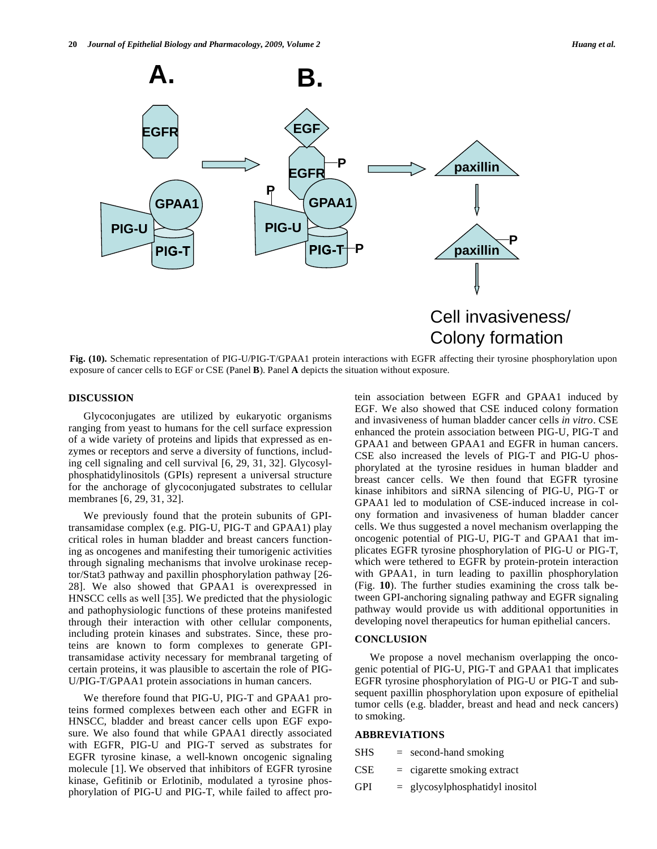

**Fig. (10).** Schematic representation of PIG-U/PIG-T/GPAA1 protein interactions with EGFR affecting their tyrosine phosphorylation upon exposure of cancer cells to EGF or CSE (Panel **B**). Panel **A** depicts the situation without exposure.

#### **DISCUSSION**

 Glycoconjugates are utilized by eukaryotic organisms ranging from yeast to humans for the cell surface expression of a wide variety of proteins and lipids that expressed as enzymes or receptors and serve a diversity of functions, including cell signaling and cell survival [6, 29, 31, 32]. Glycosylphosphatidylinositols (GPIs) represent a universal structure for the anchorage of glycoconjugated substrates to cellular membranes [6, 29, 31, 32].

We previously found that the protein subunits of GPItransamidase complex (e.g. PIG-U, PIG-T and GPAA1) play critical roles in human bladder and breast cancers functioning as oncogenes and manifesting their tumorigenic activities through signaling mechanisms that involve urokinase receptor/Stat3 pathway and paxillin phosphorylation pathway [26- 28]. We also showed that GPAA1 is overexpressed in HNSCC cells as well [35]. We predicted that the physiologic and pathophysiologic functions of these proteins manifested through their interaction with other cellular components, including protein kinases and substrates. Since, these proteins are known to form complexes to generate GPItransamidase activity necessary for membranal targeting of certain proteins, it was plausible to ascertain the role of PIG-U/PIG-T/GPAA1 protein associations in human cancers.

 We therefore found that PIG-U, PIG-T and GPAA1 proteins formed complexes between each other and EGFR in HNSCC, bladder and breast cancer cells upon EGF exposure. We also found that while GPAA1 directly associated with EGFR, PIG-U and PIG-T served as substrates for EGFR tyrosine kinase, a well-known oncogenic signaling molecule [1]. We observed that inhibitors of EGFR tyrosine kinase, Gefitinib or Erlotinib, modulated a tyrosine phosphorylation of PIG-U and PIG-T, while failed to affect protein association between EGFR and GPAA1 induced by EGF. We also showed that CSE induced colony formation and invasiveness of human bladder cancer cells *in vitro*. CSE enhanced the protein association between PIG-U, PIG-T and GPAA1 and between GPAA1 and EGFR in human cancers. CSE also increased the levels of PIG-T and PIG-U phosphorylated at the tyrosine residues in human bladder and breast cancer cells. We then found that EGFR tyrosine kinase inhibitors and siRNA silencing of PIG-U, PIG-T or GPAA1 led to modulation of CSE-induced increase in colony formation and invasiveness of human bladder cancer cells. We thus suggested a novel mechanism overlapping the oncogenic potential of PIG-U, PIG-T and GPAA1 that implicates EGFR tyrosine phosphorylation of PIG-U or PIG-T, which were tethered to EGFR by protein-protein interaction with GPAA1, in turn leading to paxillin phosphorylation (Fig. **10**). The further studies examining the cross talk between GPI-anchoring signaling pathway and EGFR signaling pathway would provide us with additional opportunities in developing novel therapeutics for human epithelial cancers.

#### **CONCLUSION**

 We propose a novel mechanism overlapping the oncogenic potential of PIG-U, PIG-T and GPAA1 that implicates EGFR tyrosine phosphorylation of PIG-U or PIG-T and subsequent paxillin phosphorylation upon exposure of epithelial tumor cells (e.g. bladder, breast and head and neck cancers) to smoking.

## **ABBREVIATIONS**

| <b>SHS</b> | $=$ second-hand smoking           |
|------------|-----------------------------------|
| <b>CSE</b> | $=$ cigarette smoking extract     |
| <b>GPI</b> | $=$ glycosylphosphatidyl inositol |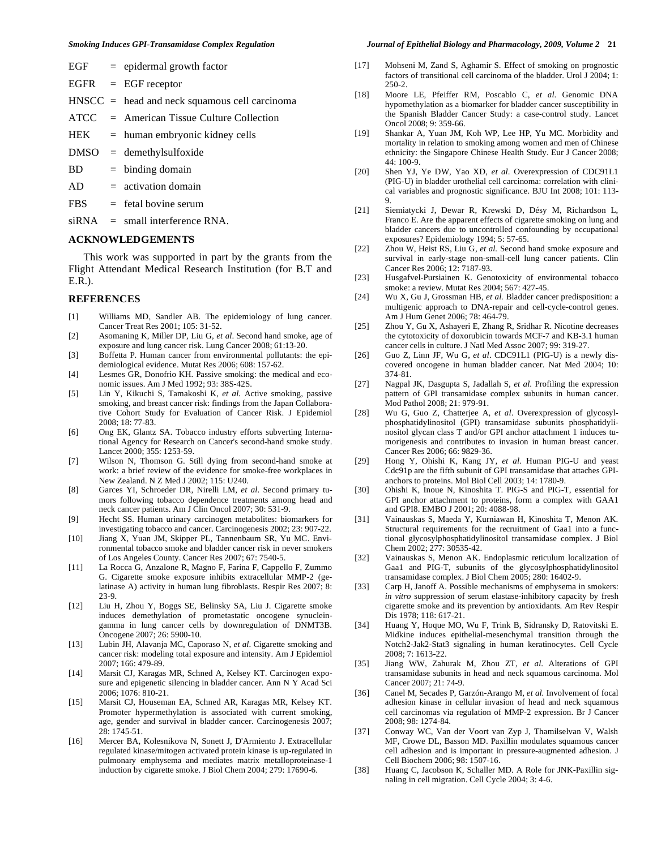| EGF | epidermal growth factor |  |
|-----|-------------------------|--|
|     |                         |  |

- EGFR = EGF receptor
- HNSCC = head and neck squamous cell carcinoma
- ATCC = American Tissue Culture Collection
- $HEK = human embryonic kidney cells$
- DMSO = demethylsulfoxide
- $BD = binding domain$
- $AD = activation domain$
- $FBS = \text{fetal bovine serum}$

 $siRNA$  = small interference RNA.

#### **ACKNOWLEDGEMENTS**

 This work was supported in part by the grants from the Flight Attendant Medical Research Institution (for B.T and E.R.).

#### **REFERENCES**

- [1] Williams MD, Sandler AB. The epidemiology of lung cancer. Cancer Treat Res 2001; 105: 31-52.
- [2] Asomaning K, Miller DP, Liu G, *et al*. Second hand smoke, age of exposure and lung cancer risk. Lung Cancer 2008; 61:13-20.
- [3] Boffetta P. Human cancer from environmental pollutants: the epidemiological evidence. Mutat Res 2006; 608: 157-62.
- [4] Lesmes GR, Donofrio KH. Passive smoking: the medical and economic issues. Am J Med 1992; 93: 38S-42S.
- [5] Lin Y, Kikuchi S, Tamakoshi K, *et al.* Active smoking, passive smoking, and breast cancer risk: findings from the Japan Collaborative Cohort Study for Evaluation of Cancer Risk. J Epidemiol  $2008: 18: 77-83$
- [6] Ong EK, Glantz SA. Tobacco industry efforts subverting International Agency for Research on Cancer's second-hand smoke study. Lancet 2000; 355: 1253-59.
- [7] Wilson N, Thomson G. Still dying from second-hand smoke at work: a brief review of the evidence for smoke-free workplaces in New Zealand. N Z Med J 2002; 115: U240.
- [8] Garces YI, Schroeder DR, Nirelli LM, *et al*. Second primary tumors following tobacco dependence treatments among head and neck cancer patients. Am J Clin Oncol 2007; 30: 531-9.
- [9] Hecht SS. Human urinary carcinogen metabolites: biomarkers for investigating tobacco and cancer. Carcinogenesis 2002; 23: 907-22.
- [10] Jiang X, Yuan JM, Skipper PL, Tannenbaum SR, Yu MC. Environmental tobacco smoke and bladder cancer risk in never smokers of Los Angeles County. Cancer Res 2007; 67: 7540-5.
- [11] La Rocca G, Anzalone R, Magno F, Farina F, Cappello F, Zummo G. Cigarette smoke exposure inhibits extracellular MMP-2 (gelatinase A) activity in human lung fibroblasts. Respir Res 2007; 8: 23-9.
- [12] Liu H, Zhou Y, Boggs SE, Belinsky SA, Liu J. Cigarette smoke induces demethylation of prometastatic oncogene synucleingamma in lung cancer cells by downregulation of DNMT3B. Oncogene 2007; 26: 5900-10.
- [13] Lubin JH, Alavanja MC, Caporaso N, *et al*. Cigarette smoking and cancer risk: modeling total exposure and intensity. Am J Epidemiol 2007; 166: 479-89.
- [14] Marsit CJ, Karagas MR, Schned A, Kelsey KT. Carcinogen exposure and epigenetic silencing in bladder cancer. Ann N Y Acad Sci 2006; 1076: 810-21.
- [15] Marsit CJ, Houseman EA, Schned AR, Karagas MR, Kelsey KT. Promoter hypermethylation is associated with current smoking, age, gender and survival in bladder cancer. Carcinogenesis 2007; 28: 1745-51.
- [16] Mercer BA, Kolesnikova N, Sonett J, D'Armiento J. Extracellular regulated kinase/mitogen activated protein kinase is up-regulated in pulmonary emphysema and mediates matrix metalloproteinase-1 induction by cigarette smoke. J Biol Chem 2004; 279: 17690-6.

#### *Smoking Induces GPI-Transamidase Complex Regulation Journal of Epithelial Biology and Pharmacology, 2009, Volume 2* **21**

- [17] Mohseni M, Zand S, Aghamir S. Effect of smoking on prognostic factors of transitional cell carcinoma of the bladder. Urol J 2004; 1: 250-2.
- [18] Moore LE, Pfeiffer RM, Poscablo C, *et al*. Genomic DNA hypomethylation as a biomarker for bladder cancer susceptibility in the Spanish Bladder Cancer Study: a case-control study. Lancet Oncol 2008; 9: 359-66.
- [19] Shankar A, Yuan JM, Koh WP, Lee HP, Yu MC. Morbidity and mortality in relation to smoking among women and men of Chinese ethnicity: the Singapore Chinese Health Study. Eur J Cancer 2008; 44: 100-9.
- [20] Shen YJ, Ye DW, Yao XD, *et al*. Overexpression of CDC91L1 (PIG-U) in bladder urothelial cell carcinoma: correlation with clinical variables and prognostic significance. BJU Int 2008; 101: 113- 9.
- [21] Siemiatycki J, Dewar R, Krewski D, Désy M, Richardson L, Franco E. Are the apparent effects of cigarette smoking on lung and bladder cancers due to uncontrolled confounding by occupational exposures? Epidemiology 1994; 5: 57-65.
- [22] Zhou W, Heist RS, Liu G, *et al.* Second hand smoke exposure and survival in early-stage non-small-cell lung cancer patients. Clin Cancer Res 2006; 12: 7187-93.
- [23] Husgafvel-Pursiainen K. Genotoxicity of environmental tobacco smoke: a review. Mutat Res 2004; 567: 427-45.
- [24] Wu X, Gu J, Grossman HB, *et al.* Bladder cancer predisposition: a multigenic approach to DNA-repair and cell-cycle-control genes. Am J Hum Genet 2006; 78: 464-79.
- [25] Zhou Y, Gu X, Ashayeri E, Zhang R, Sridhar R. Nicotine decreases the cytotoxicity of doxorubicin towards MCF-7 and KB-3.1 human cancer cells in culture. J Natl Med Assoc 2007; 99: 319-27.
- [26] Guo Z, Linn JF, Wu G, *et al*. CDC91L1 (PIG-U) is a newly discovered oncogene in human bladder cancer. Nat Med 2004; 10: 374-81.
- [27] Nagpal JK, Dasgupta S, Jadallah S, *et al*. Profiling the expression pattern of GPI transamidase complex subunits in human cancer. Mod Pathol 2008; 21: 979-91.
- [28] Wu G, Guo Z, Chatterjee A, *et al*. Overexpression of glycosylphosphatidylinositol (GPI) transamidase subunits phosphatidylinositol glycan class T and/or GPI anchor attachment 1 induces tumorigenesis and contributes to invasion in human breast cancer. Cancer Res 2006; 66: 9829-36.
- [29] Hong Y, Ohishi K, Kang JY, *et al.* Human PIG-U and yeast Cdc91p are the fifth subunit of GPI transamidase that attaches GPIanchors to proteins. Mol Biol Cell 2003; 14: 1780-9.
- [30] Ohishi K, Inoue N, Kinoshita T. PIG-S and PIG-T, essential for GPI anchor attachment to proteins, form a complex with GAA1 and GPI8. EMBO J 2001; 20: 4088-98.
- [31] Vainauskas S, Maeda Y, Kurniawan H, Kinoshita T, Menon AK. Structural requirements for the recruitment of Gaa1 into a functional glycosylphosphatidylinositol transamidase complex. J Biol Chem 2002; 277: 30535-42.
- [32] Vainauskas S, Menon AK. Endoplasmic reticulum localization of Gaa1 and PIG-T, subunits of the glycosylphosphatidylinositol transamidase complex. J Biol Chem 2005; 280: 16402-9.
- [33] Carp H, Janoff A. Possible mechanisms of emphysema in smokers: *in vitro* suppression of serum elastase-inhibitory capacity by fresh cigarette smoke and its prevention by antioxidants. Am Rev Respir Dis 1978; 118: 617-21.
- [34] Huang Y, Hoque MO, Wu F, Trink B, Sidransky D, Ratovitski E. Midkine induces epithelial-mesenchymal transition through the Notch2-Jak2-Stat3 signaling in human keratinocytes. Cell Cycle 2008; 7: 1613-22.
- [35] Jiang WW, Zahurak M, Zhou ZT, *et al*. Alterations of GPI transamidase subunits in head and neck squamous carcinoma. Mol Cancer 2007; 21: 74-9.
- [36] Canel M, Secades P, Garzón-Arango M, *et al.* Involvement of focal adhesion kinase in cellular invasion of head and neck squamous cell carcinomas via regulation of MMP-2 expression. Br J Cancer 2008; 98: 1274-84.
- [37] Conway WC, Van der Voort van Zyp J, Thamilselvan V, Walsh MF, Crowe DL, Basson MD. Paxillin modulates squamous cancer cell adhesion and is important in pressure-augmented adhesion. J Cell Biochem 2006; 98: 1507-16.
- [38] Huang C, Jacobson K, Schaller MD. A Role for JNK-Paxillin signaling in cell migration. Cell Cycle 2004; 3: 4-6.